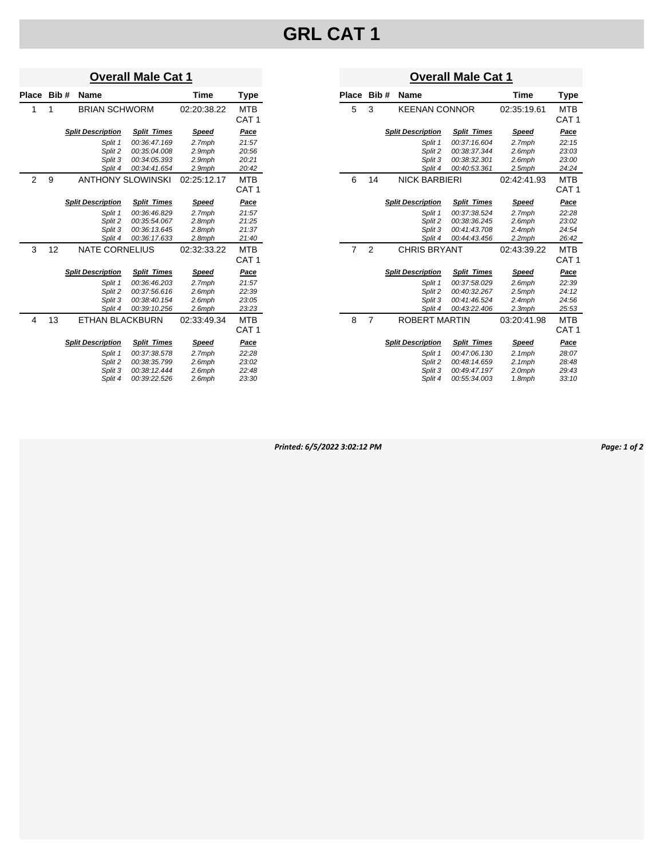# **GRL CAT 1**

### **Overall Male Cat 1**

| Place          | Bib# | <b>Name</b> |                          |                          | Time         | Type             |
|----------------|------|-------------|--------------------------|--------------------------|--------------|------------------|
| 1              | 1    |             | <b>BRIAN SCHWORM</b>     |                          | 02:20:38.22  | <b>MTB</b>       |
|                |      |             |                          |                          |              | CAT <sub>1</sub> |
|                |      |             | <b>Split Description</b> | <b>Split Times</b>       | Speed        | Pace             |
|                |      |             | Split 1                  | 00:36:47.169             | 2.7mph       | 21:57            |
|                |      |             | Split 2                  | 00:35:04.008             | 2.9mph       | 20:56            |
|                |      |             | Split 3                  | 00:34:05.393             | 2.9mph       | 20:21            |
|                |      |             | Split 4                  | 00:34:41.654             | 2.9mph       | 20:42            |
| $\overline{2}$ | 9    |             |                          | <b>ANTHONY SLOWINSKI</b> | 02:25:12.17  | <b>MTB</b>       |
|                |      |             |                          |                          |              | CAT <sub>1</sub> |
|                |      |             | <b>Split Description</b> | <b>Split Times</b>       | Speed        | Pace             |
|                |      |             | Split 1                  | 00:36:46.829             | 2.7mph       | 21:57            |
|                |      |             | Split 2                  | 00:35:54.067             | 2.8mph       | 21:25            |
|                |      |             | Split 3                  | 00:36:13.645             | 2.8mph       | 21:37            |
|                |      |             | Split 4                  | 00:36:17.633             | 2.8mph       | 21:40            |
| 3              | 12   |             | <b>NATE CORNELIUS</b>    |                          | 02:32:33.22  | MTB              |
|                |      |             |                          |                          |              | CAT <sub>1</sub> |
|                |      |             | <b>Split Description</b> | <b>Split Times</b>       | <b>Speed</b> | Pace             |
|                |      |             | Split 1                  | 00:36:46.203             | 2.7mph       | 21:57            |
|                |      |             | Split 2                  | 00:37:56.616             | 2.6mph       | 22:39            |
|                |      |             | Split 3                  | 00:38:40.154             | 2.6mph       | 23:05            |
|                |      |             | Split 4                  | 00:39:10.256             | 2.6mph       | 23:23            |
| 4              | 13   |             | <b>ETHAN BLACKBURN</b>   |                          | 02:33:49.34  | <b>MTB</b>       |
|                |      |             |                          |                          |              | CAT <sub>1</sub> |
|                |      |             | <b>Split Description</b> | <b>Split Times</b>       | Speed        | Pace             |
|                |      |             | Split 1                  | 00:37:38.578             | 2.7mph       | 22:28            |
|                |      |             | Split 2                  | 00:38:35.799             | 2.6mph       | 23:02            |
|                |      |             | Split 3                  | 00:38:12.444             | 2.6mph       | 22:48            |
|                |      |             | Split 4                  | 00:39:22.526             | 2.6mph       | 23:30            |

#### **Overall Male Cat 1**

| <b>Place</b>   | Bib# | Name                     |                     | Time         | Type                           |  |  |  |
|----------------|------|--------------------------|---------------------|--------------|--------------------------------|--|--|--|
| 5              | 3    | <b>KEENAN CONNOR</b>     |                     | 02:35:19.61  | <b>MTB</b><br>CAT <sub>1</sub> |  |  |  |
|                |      | <b>Split Description</b> | <b>Split Times</b>  | Speed        | Pace                           |  |  |  |
|                |      | Split 1                  | 00:37:16.604        | 2.7mph       | 22:15                          |  |  |  |
|                |      | Split 2                  | 00:38:37.344        | $2.6$ mph    | 23:03                          |  |  |  |
|                |      | Split 3                  | 00:38:32.301        | 2.6mph       | 23:00                          |  |  |  |
|                |      | Split 4                  | 00:40:53.361        | 2.5mph       | 24:24                          |  |  |  |
| 6              | 14   | <b>NICK BARBIERI</b>     |                     | 02:42:41.93  | <b>MTB</b>                     |  |  |  |
|                |      |                          |                     |              | CAT <sub>1</sub>               |  |  |  |
|                |      | <b>Split Description</b> | <b>Split Times</b>  | <b>Speed</b> | Pace                           |  |  |  |
|                |      | Split 1                  | 00:37:38.524        | 2.7mph       | 22:28                          |  |  |  |
|                |      | Split 2                  | 00:38:36.245        | 2.6mph       | 23:02                          |  |  |  |
|                |      | Split 3                  | 00:41:43.708        | $2.4$ mph    | 24:54                          |  |  |  |
|                |      | Split 4                  | 00:44:43.456        | 2.2mph       | 26:42                          |  |  |  |
| $\overline{7}$ | 2    |                          | <b>CHRIS BRYANT</b> |              | MTB                            |  |  |  |
|                |      |                          |                     |              | CAT <sub>1</sub>               |  |  |  |
|                |      | <b>Split Description</b> | <b>Split Times</b>  | <b>Speed</b> | Pace                           |  |  |  |
|                |      | Split 1                  | 00:37:58.029        | $2.6$ mph    | 22:39                          |  |  |  |
|                |      | Split 2                  | 00:40:32.267        | $2.5$ mph    | 24:12                          |  |  |  |
|                |      | Split 3                  | 00:41:46.524        | $2.4$ mph    | 24:56                          |  |  |  |
|                |      | Split 4                  | 00:43:22.406        | 2.3mph       | 25:53                          |  |  |  |
| 8              | 7    |                          | ROBERT MARTIN       |              | MTB                            |  |  |  |
|                |      |                          |                     |              | CAT <sub>1</sub>               |  |  |  |
|                |      | <b>Split Description</b> | <b>Split Times</b>  | Speed        | <b>Pace</b>                    |  |  |  |
|                |      | Split 1                  | 00:47:06.130        | $2.1$ mph    | 28:07                          |  |  |  |
|                |      | Split 2                  | 00:48:14.659        | $2.1$ mph    | 28:48                          |  |  |  |
|                |      | Split 3                  | 00:49:47.197        | 2.0mph       | 29:43                          |  |  |  |
|                |      | Split 4                  | 00:55:34.003        | 1.8mph       | 33:10                          |  |  |  |

*Printed: 6/5/2022 3:02:12 PM Page: 1 of 2*